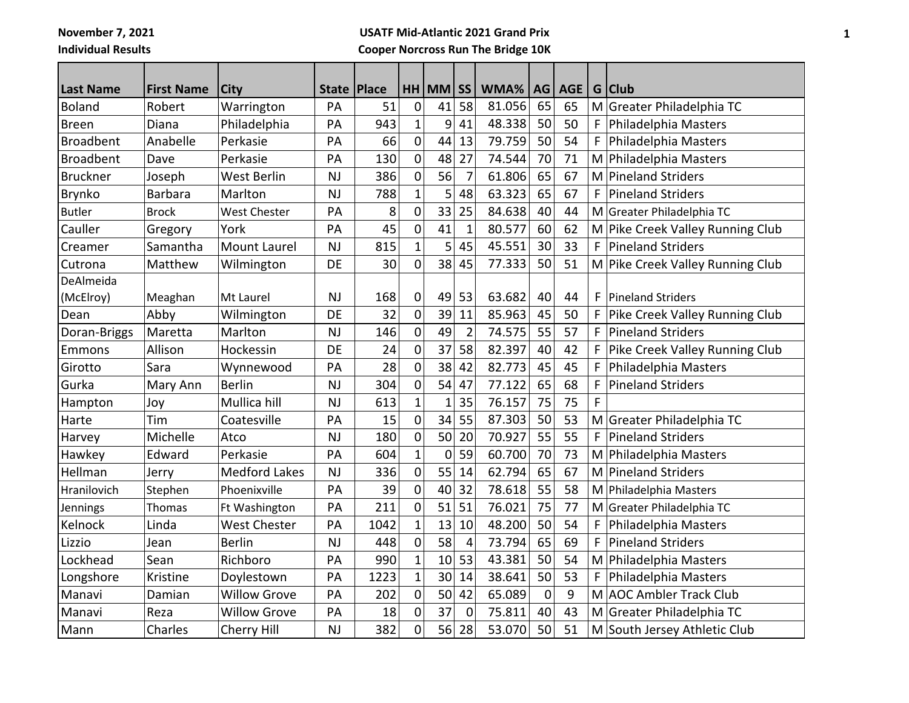**November 7, 2021**

**Individual Results**

## **USATF Mid-Atlantic 2021 Grand Prix Cooper Norcross Run The Bridge 10K**

| <b>Last Name</b> | <b>First Name</b> | <b>City</b>          | <b>State</b> | Place |                | $HH$ MM $ SS $ |                | WMA%   | AG          | <b>AGE</b> |   | G Club                           |
|------------------|-------------------|----------------------|--------------|-------|----------------|----------------|----------------|--------|-------------|------------|---|----------------------------------|
| Boland           | Robert            | Warrington           | PA           | 51    | $\mathbf 0$    | 41             | 58             | 81.056 | 65          | 65         |   | M Greater Philadelphia TC        |
| <b>Breen</b>     | Diana             | Philadelphia         | PA           | 943   | 1              | 9              | 41             | 48.338 | 50          | 50         |   | Philadelphia Masters             |
| <b>Broadbent</b> | Anabelle          | Perkasie             | PA           | 66    | $\overline{0}$ | 44             | 13             | 79.759 | 50          | 54         | F | Philadelphia Masters             |
| <b>Broadbent</b> | Dave              | Perkasie             | PA           | 130   | $\mathbf 0$    | 48             | 27             | 74.544 | 70          | 71         |   | M Philadelphia Masters           |
| <b>Bruckner</b>  | Joseph            | <b>West Berlin</b>   | <b>NJ</b>    | 386   | $\mathbf 0$    | 56             | $\overline{7}$ | 61.806 | 65          | 67         |   | M Pineland Striders              |
| Brynko           | <b>Barbara</b>    | Marlton              | <b>NJ</b>    | 788   | $\mathbf 1$    | 5              | 48             | 63.323 | 65          | 67         | F | <b>Pineland Striders</b>         |
| <b>Butler</b>    | <b>Brock</b>      | <b>West Chester</b>  | PA           | 8     | $\mathbf 0$    | 33             | 25             | 84.638 | 40          | 44         |   | M Greater Philadelphia TC        |
| Cauller          | Gregory           | York                 | PA           | 45    | $\overline{0}$ | 41             | $\mathbf{1}$   | 80.577 | 60          | 62         |   | M Pike Creek Valley Running Club |
| Creamer          | Samantha          | Mount Laurel         | <b>NJ</b>    | 815   | $\mathbf 1$    | $\overline{5}$ | 45             | 45.551 | 30          | 33         | F | Pineland Striders                |
| Cutrona          | Matthew           | Wilmington           | DE           | 30    | 0              | 38             | 45             | 77.333 | 50          | 51         |   | M Pike Creek Valley Running Club |
| DeAlmeida        |                   |                      |              |       |                |                |                |        |             |            |   |                                  |
| (McElroy)        | Meaghan           | Mt Laurel            | <b>NJ</b>    | 168   | 0              | 49             | 53             | 63.682 | 40          | 44         | F | <b>Pineland Striders</b>         |
| Dean             | Abby              | Wilmington           | DE           | 32    | $\mathbf 0$    | 39             | 11             | 85.963 | 45          | 50         |   | Pike Creek Valley Running Club   |
| Doran-Briggs     | Maretta           | Marlton              | <b>NJ</b>    | 146   | $\overline{0}$ | 49             | $\overline{2}$ | 74.575 | 55          | 57         | F | <b>Pineland Striders</b>         |
| Emmons           | Allison           | Hockessin            | DE           | 24    | $\mathbf 0$    | 37             | 58             | 82.397 | 40          | 42         | F | Pike Creek Valley Running Club   |
| Girotto          | Sara              | Wynnewood            | PA           | 28    | $\mathbf 0$    | 38             | 42             | 82.773 | 45          | 45         |   | Philadelphia Masters             |
| Gurka            | Mary Ann          | <b>Berlin</b>        | <b>NJ</b>    | 304   | $\mathbf 0$    | 54             | 47             | 77.122 | 65          | 68         | F | <b>Pineland Striders</b>         |
| Hampton          | Joy               | Mullica hill         | <b>NJ</b>    | 613   | $\overline{1}$ | $\mathbf{1}$   | 35             | 76.157 | 75          | 75         | F |                                  |
| Harte            | Tim               | Coatesville          | PA           | 15    | 0              | 34             | 55             | 87.303 | 50          | 53         |   | M Greater Philadelphia TC        |
| Harvey           | Michelle          | Atco                 | <b>NJ</b>    | 180   | $\mathbf 0$    | 50             | 20             | 70.927 | 55          | 55         | F | <b>Pineland Striders</b>         |
| Hawkey           | Edward            | Perkasie             | PA           | 604   | $\mathbf{1}$   | 0              | 59             | 60.700 | 70          | 73         |   | M Philadelphia Masters           |
| Hellman          | Jerry             | <b>Medford Lakes</b> | <b>NJ</b>    | 336   | $\mathbf 0$    | 55             | 14             | 62.794 | 65          | 67         |   | M Pineland Striders              |
| Hranilovich      | Stephen           | Phoenixville         | PA           | 39    | 0              | 40             | 32             | 78.618 | 55          | 58         |   | M Philadelphia Masters           |
| Jennings         | Thomas            | Ft Washington        | PA           | 211   | $\mathbf 0$    | 51             | 51             | 76.021 | 75          | 77         |   | M Greater Philadelphia TC        |
| Kelnock          | Linda             | <b>West Chester</b>  | PA           | 1042  | $\mathbf 1$    | 13             | 10             | 48.200 | 50          | 54         | F | Philadelphia Masters             |
| Lizzio           | Jean              | <b>Berlin</b>        | <b>NJ</b>    | 448   | $\mathbf 0$    | 58             | $\overline{4}$ | 73.794 | 65          | 69         | F | <b>Pineland Striders</b>         |
| Lockhead         | Sean              | Richboro             | PA           | 990   | $\overline{1}$ | 10             | 53             | 43.381 | 50          | 54         |   | M Philadelphia Masters           |
| Longshore        | Kristine          | Doylestown           | PA           | 1223  | $\mathbf{1}$   | 30             | 14             | 38.641 | 50          | 53         | F | Philadelphia Masters             |
| Manavi           | Damian            | <b>Willow Grove</b>  | PA           | 202   | $\mathbf 0$    | 50             | 42             | 65.089 | $\mathbf 0$ | 9          |   | M AOC Ambler Track Club          |
| Manavi           | Reza              | <b>Willow Grove</b>  | PA           | 18    | 0              | 37             | $\mathbf 0$    | 75.811 | 40          | 43         |   | M Greater Philadelphia TC        |
| Mann             | Charles           | Cherry Hill          | <b>NJ</b>    | 382   | 0              | 56             | 28             | 53.070 | 50          | 51         |   | M South Jersey Athletic Club     |